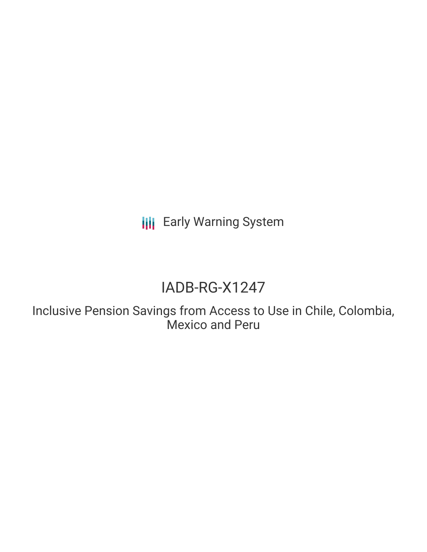**III** Early Warning System

# IADB-RG-X1247

Inclusive Pension Savings from Access to Use in Chile, Colombia, Mexico and Peru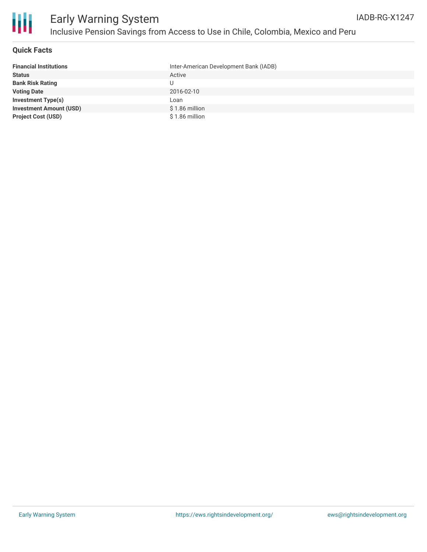

#### **Quick Facts**

| <b>Financial Institutions</b>  | Inter-American Development Bank (IADB) |
|--------------------------------|----------------------------------------|
| <b>Status</b>                  | Active                                 |
| <b>Bank Risk Rating</b>        | U                                      |
| <b>Voting Date</b>             | 2016-02-10                             |
| <b>Investment Type(s)</b>      | Loan                                   |
| <b>Investment Amount (USD)</b> | $$1.86$ million                        |
| <b>Project Cost (USD)</b>      | \$1.86 million                         |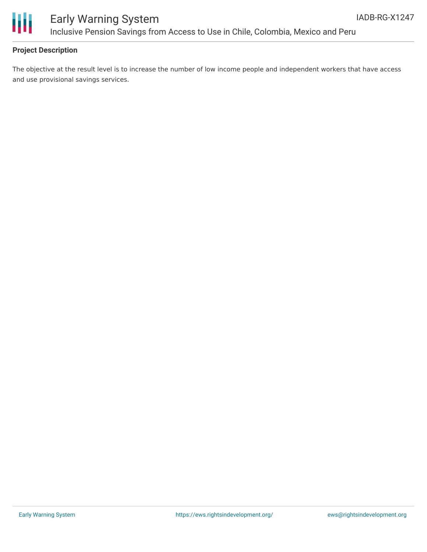

#### **Project Description**

The objective at the result level is to increase the number of low income people and independent workers that have access and use provisional savings services.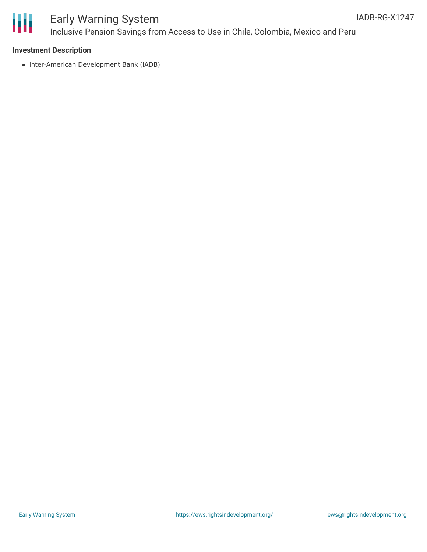

### Early Warning System Inclusive Pension Savings from Access to Use in Chile, Colombia, Mexico and Peru

#### **Investment Description**

• Inter-American Development Bank (IADB)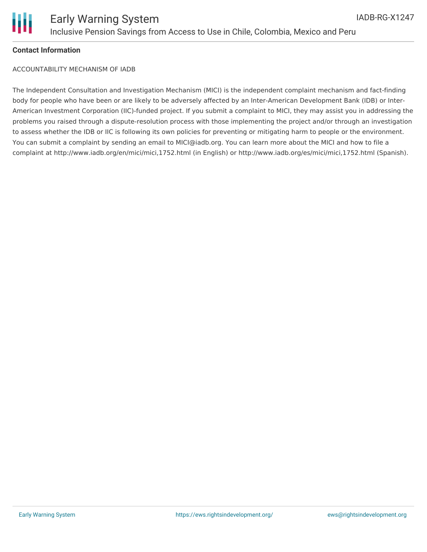

#### **Contact Information**

ACCOUNTABILITY MECHANISM OF IADB

The Independent Consultation and Investigation Mechanism (MICI) is the independent complaint mechanism and fact-finding body for people who have been or are likely to be adversely affected by an Inter-American Development Bank (IDB) or Inter-American Investment Corporation (IIC)-funded project. If you submit a complaint to MICI, they may assist you in addressing the problems you raised through a dispute-resolution process with those implementing the project and/or through an investigation to assess whether the IDB or IIC is following its own policies for preventing or mitigating harm to people or the environment. You can submit a complaint by sending an email to MICI@iadb.org. You can learn more about the MICI and how to file a complaint at http://www.iadb.org/en/mici/mici,1752.html (in English) or http://www.iadb.org/es/mici/mici,1752.html (Spanish).